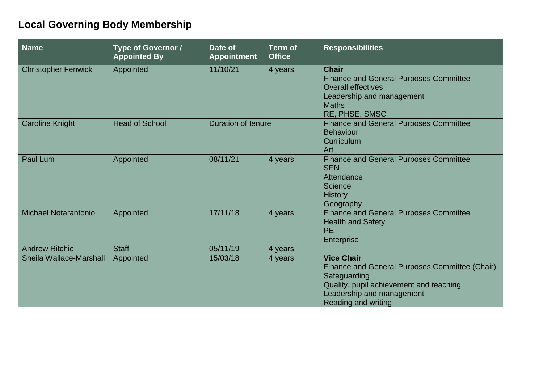## **Local Governing Body Membership**

| <b>Name</b>                 | <b>Type of Governor /</b><br><b>Appointed By</b> | Date of<br><b>Appointment</b> | <b>Term of</b><br><b>Office</b> | <b>Responsibilities</b>                                                                                                                                                            |
|-----------------------------|--------------------------------------------------|-------------------------------|---------------------------------|------------------------------------------------------------------------------------------------------------------------------------------------------------------------------------|
| <b>Christopher Fenwick</b>  | Appointed                                        | 11/10/21                      | 4 years                         | <b>Chair</b><br><b>Finance and General Purposes Committee</b><br><b>Overall effectives</b><br>Leadership and management<br><b>Maths</b><br>RE, PHSE, SMSC                          |
| <b>Caroline Knight</b>      | <b>Head of School</b>                            | <b>Duration of tenure</b>     |                                 | <b>Finance and General Purposes Committee</b><br><b>Behaviour</b><br>Curriculum<br>Art                                                                                             |
| <b>Paul Lum</b>             | Appointed                                        | 08/11/21                      | 4 years                         | <b>Finance and General Purposes Committee</b><br><b>SEN</b><br>Attendance<br>Science<br><b>History</b><br>Geography                                                                |
| <b>Michael Notarantonio</b> | Appointed                                        | 17/11/18                      | 4 years                         | <b>Finance and General Purposes Committee</b><br><b>Health and Safety</b><br><b>PE</b><br><b>Enterprise</b>                                                                        |
| <b>Andrew Ritchie</b>       | <b>Staff</b>                                     | 05/11/19                      | 4 years                         |                                                                                                                                                                                    |
| Sheila Wallace-Marshall     | Appointed                                        | 15/03/18                      | 4 years                         | <b>Vice Chair</b><br>Finance and General Purposes Committee (Chair)<br>Safeguarding<br>Quality, pupil achievement and teaching<br>Leadership and management<br>Reading and writing |